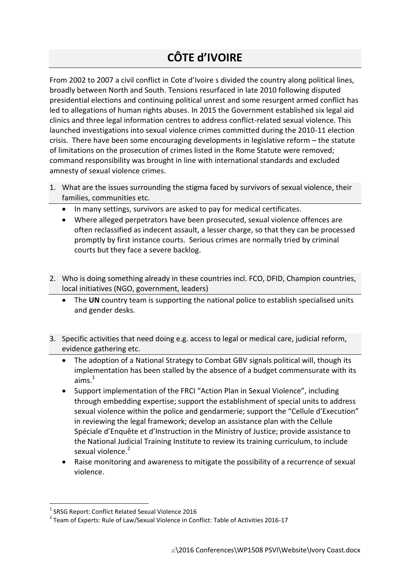## **CÔTE d'IVOIRE**

From 2002 to 2007 a civil conflict in Cote d'Ivoire s divided the country along political lines, broadly between North and South. Tensions resurfaced in late 2010 following disputed presidential elections and continuing political unrest and some resurgent armed conflict has led to allegations of human rights abuses. In 2015 the Government established six legal aid clinics and three legal information centres to address conflict-related sexual violence. This launched investigations into sexual violence crimes committed during the 2010-11 election crisis. There have been some encouraging developments in legislative reform – the statute of limitations on the prosecution of crimes listed in the Rome Statute were removed; command responsibility was brought in line with international standards and excluded amnesty of sexual violence crimes.

- 1. What are the issues surrounding the stigma faced by survivors of sexual violence, their families, communities etc.
	- In many settings, survivors are asked to pay for medical certificates.
	- Where alleged perpetrators have been prosecuted, sexual violence offences are often reclassified as indecent assault, a lesser charge, so that they can be processed promptly by first instance courts. Serious crimes are normally tried by criminal courts but they face a severe backlog.
- 2. Who is doing something already in these countries incl. FCO, DFID, Champion countries, local initiatives (NGO, government, leaders)
	- The **UN** country team is supporting the national police to establish specialised units and gender desks.
- 3. Specific activities that need doing e.g. access to legal or medical care, judicial reform, evidence gathering etc.
	- The adoption of a National Strategy to Combat GBV signals political will, though its implementation has been stalled by the absence of a budget commensurate with its aims. $1$
	- Support implementation of the FRCI "Action Plan in Sexual Violence", including through embedding expertise; support the establishment of special units to address sexual violence within the police and gendarmerie; support the "Cellule d'Execution" in reviewing the legal framework; develop an assistance plan with the Cellule Spéciale d'Enquête et d'Instruction in the Ministry of Justice; provide assistance to the National Judicial Training Institute to review its training curriculum, to include sexual violence.<sup>2</sup>
	- Raise monitoring and awareness to mitigate the possibility of a recurrence of sexual violence.

**<sup>.</sup>** <sup>1</sup> SRSG Report: Conflict Related Sexual Violence 2016

<sup>&</sup>lt;sup>2</sup> Team of Experts: Rule of Law/Sexual Violence in Conflict: Table of Activities 2016-17